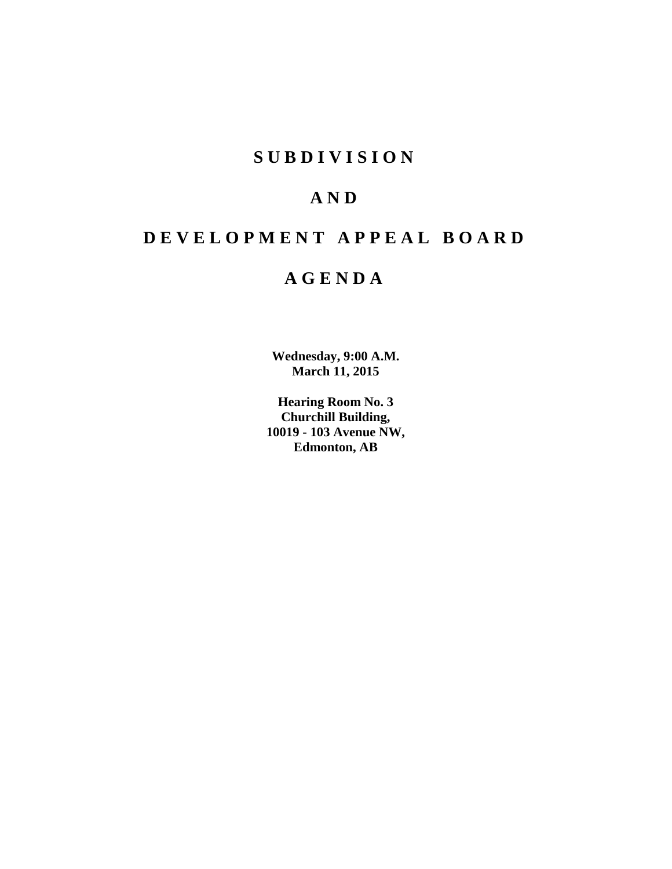### **S U B D I V I S I O N**

## **A N D**

# **D E V E L O P M E N T A P P E A L B O A R D**

### **A G E N D A**

**Wednesday, 9:00 A.M. March 11, 2015**

**Hearing Room No. 3 Churchill Building, 10019 - 103 Avenue NW, Edmonton, AB**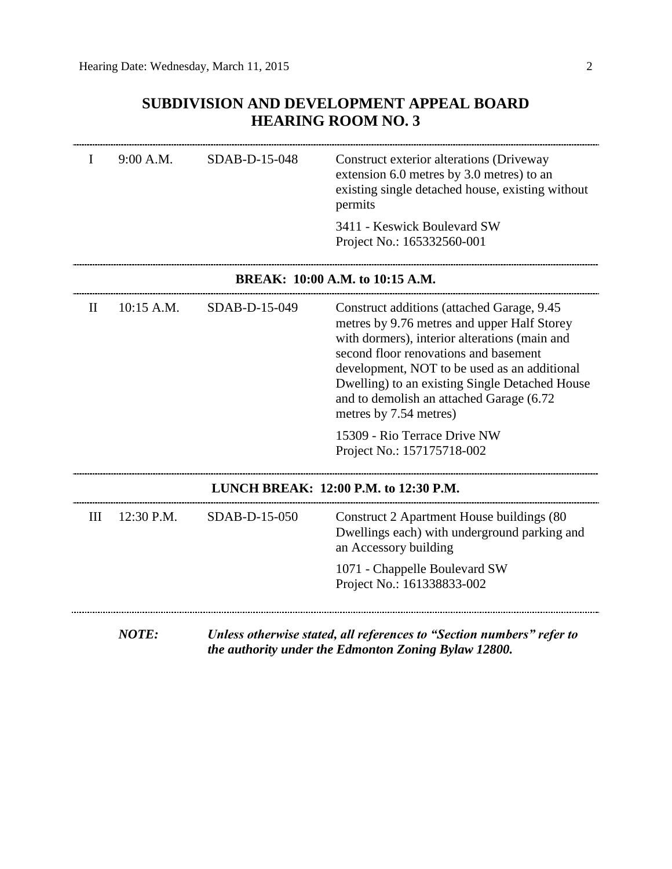### **SUBDIVISION AND DEVELOPMENT APPEAL BOARD HEARING ROOM NO. 3**

| I            | 9:00 A.M.    | SDAB-D-15-048 | Construct exterior alterations (Driveway<br>extension 6.0 metres by 3.0 metres) to an<br>existing single detached house, existing without<br>permits                                                                                                                                                                                                         |
|--------------|--------------|---------------|--------------------------------------------------------------------------------------------------------------------------------------------------------------------------------------------------------------------------------------------------------------------------------------------------------------------------------------------------------------|
|              |              |               | 3411 - Keswick Boulevard SW<br>Project No.: 165332560-001                                                                                                                                                                                                                                                                                                    |
|              |              |               | BREAK: 10:00 A.M. to 10:15 A.M.                                                                                                                                                                                                                                                                                                                              |
| $\mathbf{H}$ | $10:15$ A.M. | SDAB-D-15-049 | Construct additions (attached Garage, 9.45)<br>metres by 9.76 metres and upper Half Storey<br>with dormers), interior alterations (main and<br>second floor renovations and basement<br>development, NOT to be used as an additional<br>Dwelling) to an existing Single Detached House<br>and to demolish an attached Garage (6.72<br>metres by 7.54 metres) |
|              |              |               | 15309 - Rio Terrace Drive NW<br>Project No.: 157175718-002                                                                                                                                                                                                                                                                                                   |
|              |              |               | LUNCH BREAK: 12:00 P.M. to 12:30 P.M.                                                                                                                                                                                                                                                                                                                        |
| Ш            | 12:30 P.M.   | SDAB-D-15-050 | Construct 2 Apartment House buildings (80)<br>Dwellings each) with underground parking and<br>an Accessory building                                                                                                                                                                                                                                          |
|              |              |               | 1071 - Chappelle Boulevard SW<br>Project No.: 161338833-002                                                                                                                                                                                                                                                                                                  |
|              | <b>NOTE:</b> |               | Unless otherwise stated, all references to "Section numbers" refer to<br>the authority under the Edmonton Zoning Bylaw 12800.                                                                                                                                                                                                                                |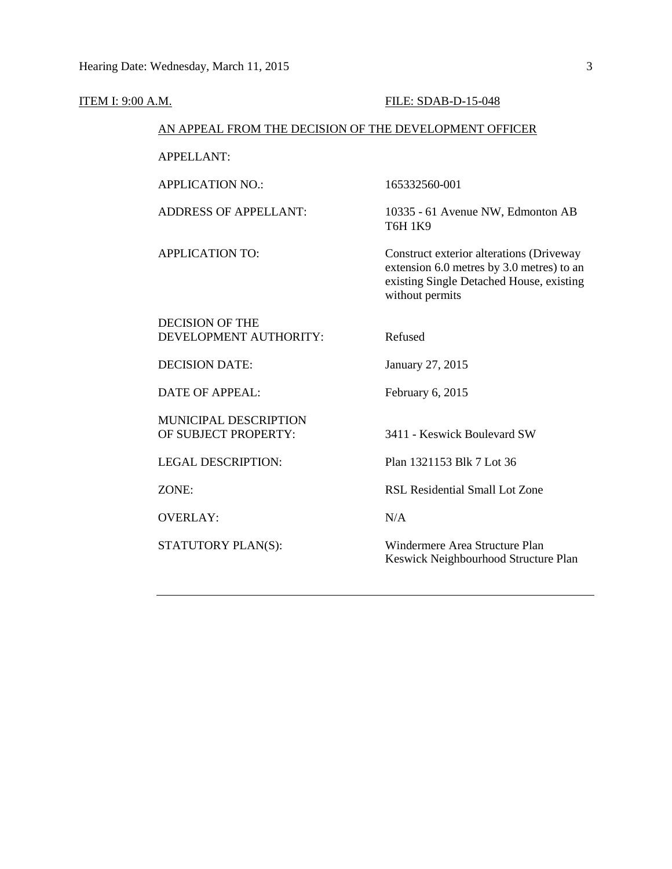| <b>ITEM I: 9:00 A.M.</b>                               | <b>FILE: SDAB-D-15-048</b>                                                                                                                           |
|--------------------------------------------------------|------------------------------------------------------------------------------------------------------------------------------------------------------|
| AN APPEAL FROM THE DECISION OF THE DEVELOPMENT OFFICER |                                                                                                                                                      |
| <b>APPELLANT:</b>                                      |                                                                                                                                                      |
| <b>APPLICATION NO.:</b>                                | 165332560-001                                                                                                                                        |
| <b>ADDRESS OF APPELLANT:</b>                           | 10335 - 61 Avenue NW, Edmonton AB<br><b>T6H 1K9</b>                                                                                                  |
| <b>APPLICATION TO:</b>                                 | Construct exterior alterations (Driveway<br>extension 6.0 metres by 3.0 metres) to an<br>existing Single Detached House, existing<br>without permits |
| <b>DECISION OF THE</b><br>DEVELOPMENT AUTHORITY:       | Refused                                                                                                                                              |
| <b>DECISION DATE:</b>                                  | January 27, 2015                                                                                                                                     |
| <b>DATE OF APPEAL:</b>                                 | February 6, 2015                                                                                                                                     |
| MUNICIPAL DESCRIPTION<br>OF SUBJECT PROPERTY:          | 3411 - Keswick Boulevard SW                                                                                                                          |
| <b>LEGAL DESCRIPTION:</b>                              | Plan 1321153 Blk 7 Lot 36                                                                                                                            |
| ZONE:                                                  | RSL Residential Small Lot Zone                                                                                                                       |
| <b>OVERLAY:</b>                                        | N/A                                                                                                                                                  |
| STATUTORY PLAN(S):                                     | Windermere Area Structure Plan<br>Keswick Neighbourhood Structure Plan                                                                               |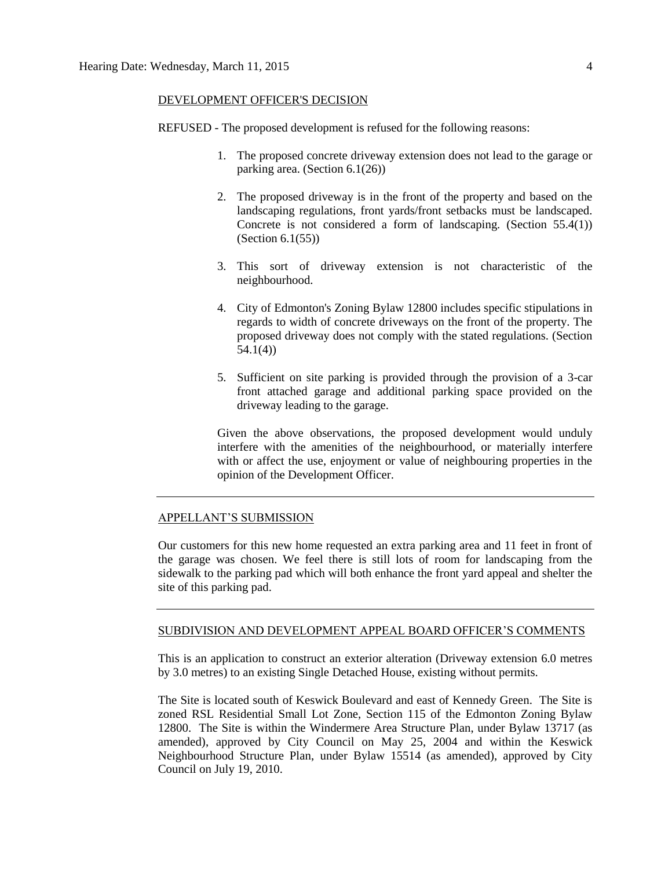#### DEVELOPMENT OFFICER'S DECISION

REFUSED - The proposed development is refused for the following reasons:

- 1. The proposed concrete driveway extension does not lead to the garage or parking area. (Section 6.1(26))
- 2. The proposed driveway is in the front of the property and based on the landscaping regulations, front yards/front setbacks must be landscaped. Concrete is not considered a form of landscaping. (Section  $55.4(1)$ ) (Section 6.1(55))
- 3. This sort of driveway extension is not characteristic of the neighbourhood.
- 4. City of Edmonton's Zoning Bylaw 12800 includes specific stipulations in regards to width of concrete driveways on the front of the property. The proposed driveway does not comply with the stated regulations. (Section 54.1(4))
- 5. Sufficient on site parking is provided through the provision of a 3-car front attached garage and additional parking space provided on the driveway leading to the garage.

Given the above observations, the proposed development would unduly interfere with the amenities of the neighbourhood, or materially interfere with or affect the use, enjoyment or value of neighbouring properties in the opinion of the Development Officer.

#### APPELLANT'S SUBMISSION

Our customers for this new home requested an extra parking area and 11 feet in front of the garage was chosen. We feel there is still lots of room for landscaping from the sidewalk to the parking pad which will both enhance the front yard appeal and shelter the site of this parking pad.

#### SUBDIVISION AND DEVELOPMENT APPEAL BOARD OFFICER'S COMMENTS

This is an application to construct an exterior alteration (Driveway extension 6.0 metres by 3.0 metres) to an existing Single Detached House, existing without permits.

The Site is located south of Keswick Boulevard and east of Kennedy Green. The Site is zoned RSL Residential Small Lot Zone, Section 115 of the Edmonton Zoning Bylaw 12800. The Site is within the Windermere Area Structure Plan, under Bylaw 13717 (as amended), approved by City Council on May 25, 2004 and within the Keswick Neighbourhood Structure Plan, under Bylaw 15514 (as amended), approved by City Council on July 19, 2010.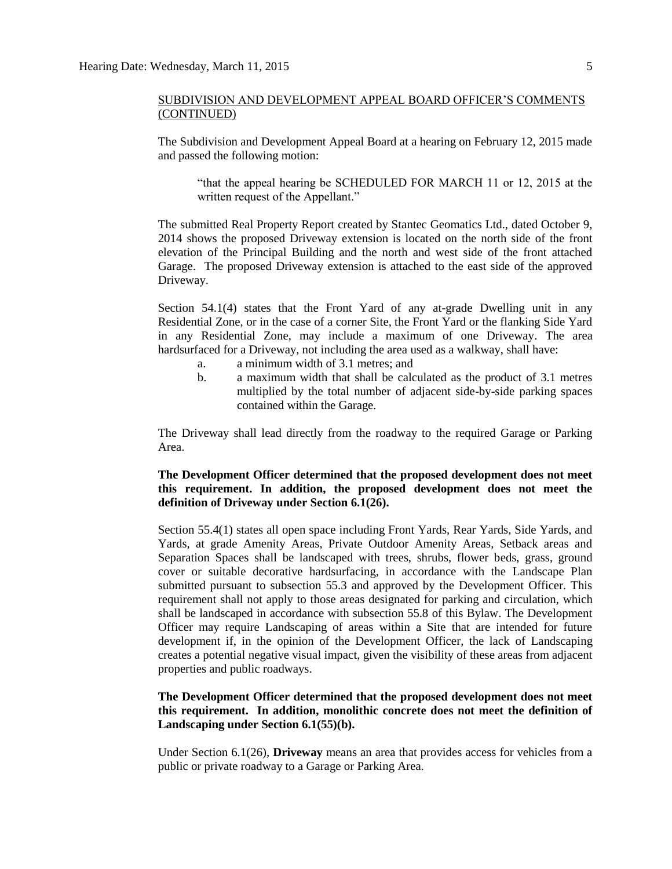The Subdivision and Development Appeal Board at a hearing on February 12, 2015 made and passed the following motion:

"that the appeal hearing be SCHEDULED FOR MARCH 11 or 12, 2015 at the written request of the Appellant."

The submitted Real Property Report created by Stantec Geomatics Ltd., dated October 9, 2014 shows the proposed Driveway extension is located on the north side of the front elevation of the Principal Building and the north and west side of the front attached Garage. The proposed Driveway extension is attached to the east side of the approved Driveway.

Section 54.1(4) states that the Front Yard of any at-grade Dwelling unit in any Residential Zone, or in the case of a corner Site, the Front Yard or the flanking Side Yard in any Residential Zone, may include a maximum of one Driveway. The area hardsurfaced for a Driveway, not including the area used as a walkway, shall have:

- a. a minimum width of 3.1 metres; and
- b. a maximum width that shall be calculated as the product of 3.1 metres multiplied by the total number of adjacent side-by-side parking spaces contained within the Garage.

The Driveway shall lead directly from the roadway to the required Garage or Parking Area.

#### **The Development Officer determined that the proposed development does not meet this requirement. In addition, the proposed development does not meet the definition of Driveway under Section 6.1(26).**

Section 55.4(1) states all open space including Front Yards, Rear Yards, Side Yards, and Yards, at grade Amenity Areas, Private Outdoor Amenity Areas, Setback areas and Separation Spaces shall be landscaped with trees, shrubs, flower beds, grass, ground cover or suitable decorative hardsurfacing, in accordance with the Landscape Plan submitted pursuant to subsection 55.3 and approved by the Development Officer. This requirement shall not apply to those areas designated for parking and circulation, which shall be landscaped in accordance with subsection 55.8 of this Bylaw. The Development Officer may require Landscaping of areas within a Site that are intended for future development if, in the opinion of the Development Officer, the lack of Landscaping creates a potential negative visual impact, given the visibility of these areas from adjacent properties and public roadways.

#### **The Development Officer determined that the proposed development does not meet this requirement. In addition, monolithic concrete does not meet the definition of Landscaping under Section 6.1(55)(b).**

Under Section 6.1(26), **Driveway** means an area that provides access for vehicles from a public or private roadway to a Garage or Parking Area.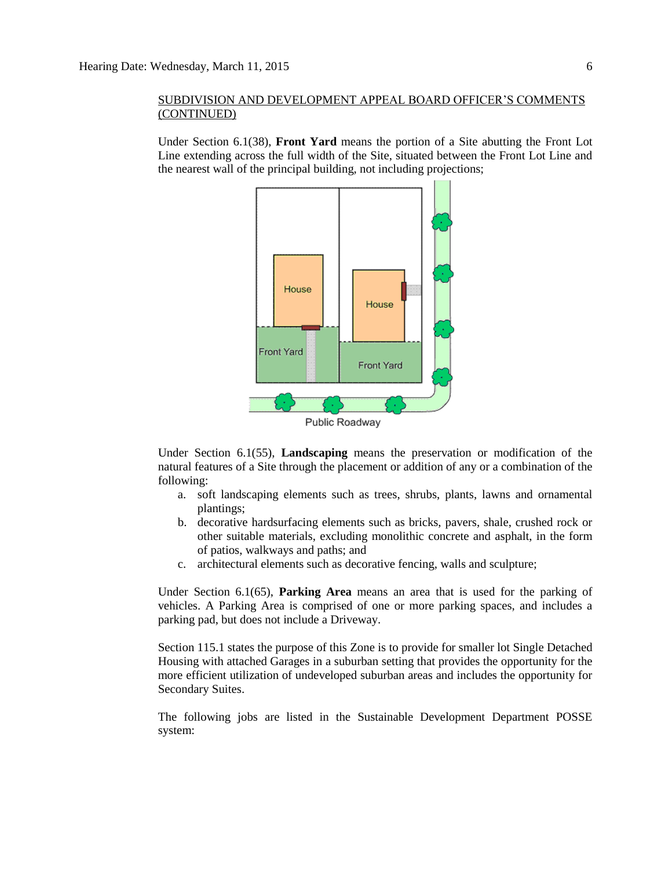Under Section 6.1(38), **Front Yard** means the portion of a Site abutting the Front Lot Line extending across the full width of the Site, situated between the Front Lot Line and the nearest wall of the principal building, not including projections;



Under Section 6.1(55), **Landscaping** means the preservation or modification of the natural features of a Site through the placement or addition of any or a combination of the following:

- a. soft landscaping elements such as trees, shrubs, plants, lawns and ornamental plantings;
- b. decorative hardsurfacing elements such as bricks, pavers, shale, crushed rock or other suitable materials, excluding monolithic concrete and asphalt, in the form of patios, walkways and paths; and
- c. architectural elements such as decorative fencing, walls and sculpture;

Under Section 6.1(65), **Parking Area** means an area that is used for the parking of vehicles. A Parking Area is comprised of one or more parking spaces, and includes a parking pad, but does not include a Driveway.

Section 115.1 states the purpose of this Zone is to provide for smaller lot Single Detached Housing with attached Garages in a suburban setting that provides the opportunity for the more efficient utilization of undeveloped suburban areas and includes the opportunity for Secondary Suites.

The following jobs are listed in the Sustainable Development Department POSSE system: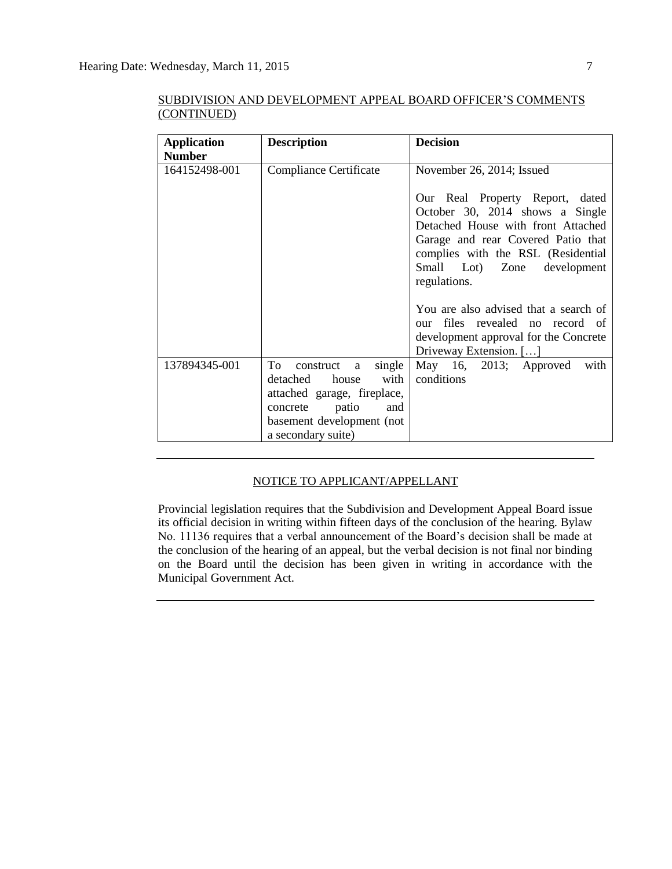| <b>Application</b> | <b>Description</b>          | <b>Decision</b>                                                          |
|--------------------|-----------------------------|--------------------------------------------------------------------------|
| <b>Number</b>      |                             |                                                                          |
| 164152498-001      | Compliance Certificate      | November 26, 2014; Issued                                                |
|                    |                             | Our Real Property Report, dated                                          |
|                    |                             | October 30, 2014 shows a Single                                          |
|                    |                             | Detached House with front Attached                                       |
|                    |                             | Garage and rear Covered Patio that<br>complies with the RSL (Residential |
|                    |                             | Small Lot) Zone development                                              |
|                    |                             | regulations.                                                             |
|                    |                             |                                                                          |
|                    |                             | You are also advised that a search of                                    |
|                    |                             | files revealed no record of<br>our                                       |
|                    |                             | development approval for the Concrete                                    |
|                    |                             | Driveway Extension. []                                                   |
| 137894345-001      | To<br>single<br>construct a | May 16, 2013; Approved<br>with                                           |
|                    | with<br>detached<br>house   | conditions                                                               |
|                    | attached garage, fireplace, |                                                                          |
|                    | patio<br>concrete<br>and    |                                                                          |
|                    | basement development (not   |                                                                          |
|                    | a secondary suite)          |                                                                          |

SUBDIVISION AND DEVELOPMENT APPEAL BOARD OFFICER'S COMMENTS (CONTINUED)

#### NOTICE TO APPLICANT/APPELLANT

Provincial legislation requires that the Subdivision and Development Appeal Board issue its official decision in writing within fifteen days of the conclusion of the hearing. Bylaw No. 11136 requires that a verbal announcement of the Board's decision shall be made at the conclusion of the hearing of an appeal, but the verbal decision is not final nor binding on the Board until the decision has been given in writing in accordance with the Municipal Government Act.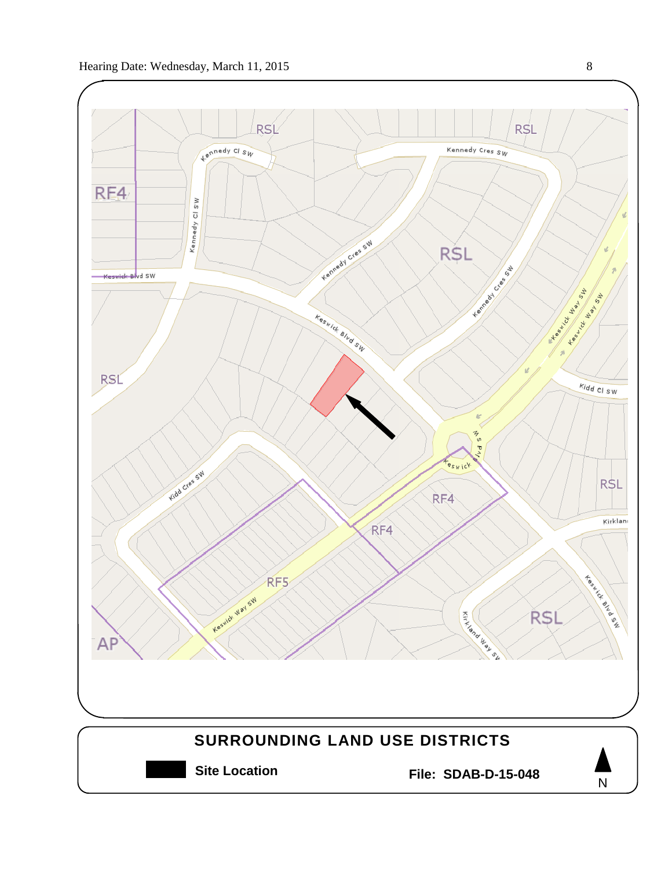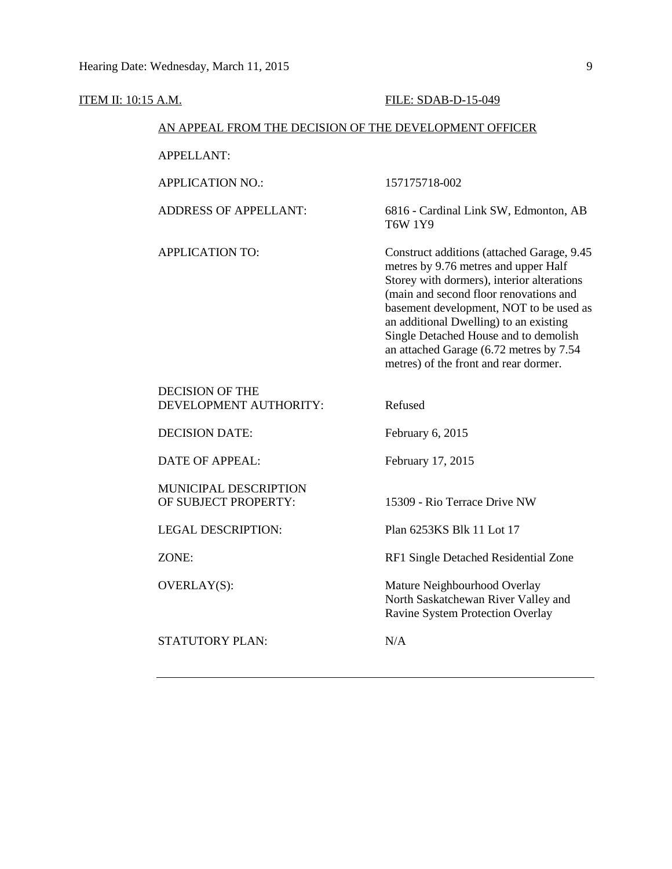| ITEM II: 10:15 A.M. |                                                        | FILE: SDAB-D-15-049                                                                                                                                                                                                                                                                                                                                                                          |
|---------------------|--------------------------------------------------------|----------------------------------------------------------------------------------------------------------------------------------------------------------------------------------------------------------------------------------------------------------------------------------------------------------------------------------------------------------------------------------------------|
|                     | AN APPEAL FROM THE DECISION OF THE DEVELOPMENT OFFICER |                                                                                                                                                                                                                                                                                                                                                                                              |
|                     | <b>APPELLANT:</b>                                      |                                                                                                                                                                                                                                                                                                                                                                                              |
|                     | <b>APPLICATION NO.:</b>                                | 157175718-002                                                                                                                                                                                                                                                                                                                                                                                |
|                     | <b>ADDRESS OF APPELLANT:</b>                           | 6816 - Cardinal Link SW, Edmonton, AB<br><b>T6W 1Y9</b>                                                                                                                                                                                                                                                                                                                                      |
|                     | <b>APPLICATION TO:</b>                                 | Construct additions (attached Garage, 9.45<br>metres by 9.76 metres and upper Half<br>Storey with dormers), interior alterations<br>(main and second floor renovations and<br>basement development, NOT to be used as<br>an additional Dwelling) to an existing<br>Single Detached House and to demolish<br>an attached Garage (6.72 metres by 7.54<br>metres) of the front and rear dormer. |
|                     | <b>DECISION OF THE</b><br>DEVELOPMENT AUTHORITY:       | Refused                                                                                                                                                                                                                                                                                                                                                                                      |
|                     | <b>DECISION DATE:</b>                                  | February 6, 2015                                                                                                                                                                                                                                                                                                                                                                             |
|                     | <b>DATE OF APPEAL:</b>                                 | February 17, 2015                                                                                                                                                                                                                                                                                                                                                                            |
|                     | MUNICIPAL DESCRIPTION<br>OF SUBJECT PROPERTY:          | 15309 - Rio Terrace Drive NW                                                                                                                                                                                                                                                                                                                                                                 |
|                     | <b>LEGAL DESCRIPTION:</b>                              | Plan 6253KS Blk 11 Lot 17                                                                                                                                                                                                                                                                                                                                                                    |
|                     | ZONE:                                                  | RF1 Single Detached Residential Zone                                                                                                                                                                                                                                                                                                                                                         |
|                     | OVERLAY(S):                                            | Mature Neighbourhood Overlay<br>North Saskatchewan River Valley and<br>Ravine System Protection Overlay                                                                                                                                                                                                                                                                                      |
|                     | STATUTORY PLAN:                                        | N/A                                                                                                                                                                                                                                                                                                                                                                                          |
|                     |                                                        |                                                                                                                                                                                                                                                                                                                                                                                              |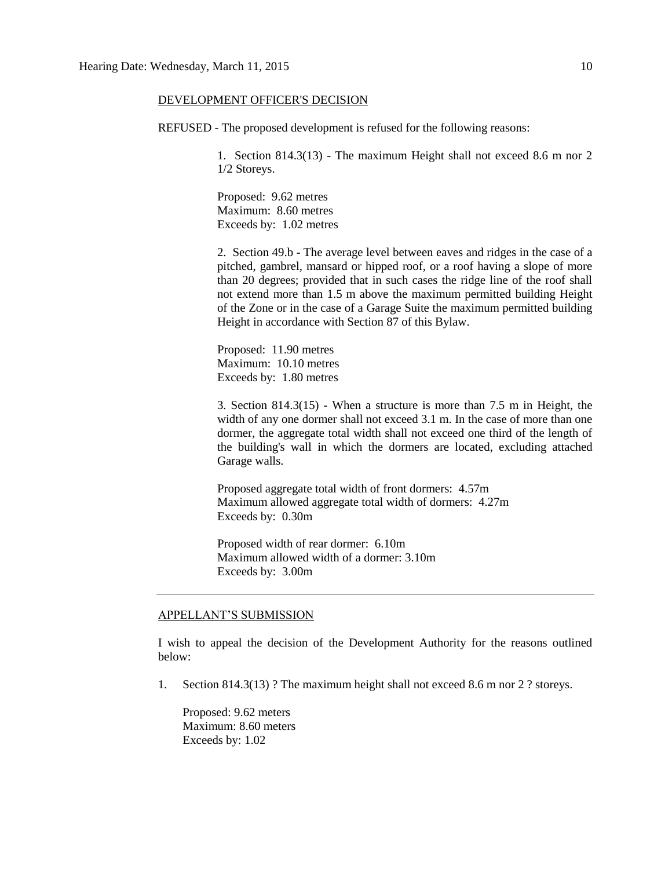#### DEVELOPMENT OFFICER'S DECISION

REFUSED - The proposed development is refused for the following reasons:

1. Section 814.3(13) - The maximum Height shall not exceed 8.6 m nor 2 1/2 Storeys.

Proposed: 9.62 metres Maximum: 8.60 metres Exceeds by: 1.02 metres

2. Section 49.b - The average level between eaves and ridges in the case of a pitched, gambrel, mansard or hipped roof, or a roof having a slope of more than 20 degrees; provided that in such cases the ridge line of the roof shall not extend more than 1.5 m above the maximum permitted building Height of the Zone or in the case of a Garage Suite the maximum permitted building Height in accordance with Section 87 of this Bylaw.

Proposed: 11.90 metres Maximum: 10.10 metres Exceeds by: 1.80 metres

3. Section 814.3(15) - When a structure is more than 7.5 m in Height, the width of any one dormer shall not exceed 3.1 m. In the case of more than one dormer, the aggregate total width shall not exceed one third of the length of the building's wall in which the dormers are located, excluding attached Garage walls.

Proposed aggregate total width of front dormers: 4.57m Maximum allowed aggregate total width of dormers: 4.27m Exceeds by: 0.30m

Proposed width of rear dormer: 6.10m Maximum allowed width of a dormer: 3.10m Exceeds by: 3.00m

#### APPELLANT'S SUBMISSION

I wish to appeal the decision of the Development Authority for the reasons outlined below:

1. Section 814.3(13) ? The maximum height shall not exceed 8.6 m nor 2 ? storeys.

Proposed: 9.62 meters Maximum: 8.60 meters Exceeds by: 1.02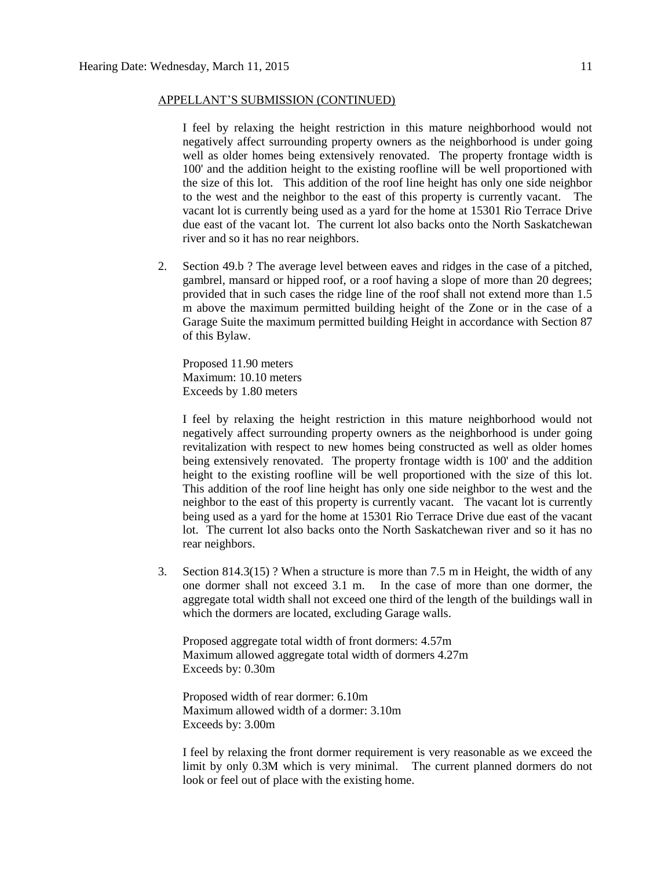#### APPELLANT'S SUBMISSION (CONTINUED)

I feel by relaxing the height restriction in this mature neighborhood would not negatively affect surrounding property owners as the neighborhood is under going well as older homes being extensively renovated. The property frontage width is 100' and the addition height to the existing roofline will be well proportioned with the size of this lot. This addition of the roof line height has only one side neighbor to the west and the neighbor to the east of this property is currently vacant. The vacant lot is currently being used as a yard for the home at 15301 Rio Terrace Drive due east of the vacant lot. The current lot also backs onto the North Saskatchewan river and so it has no rear neighbors.

2. Section 49.b ? The average level between eaves and ridges in the case of a pitched, gambrel, mansard or hipped roof, or a roof having a slope of more than 20 degrees; provided that in such cases the ridge line of the roof shall not extend more than 1.5 m above the maximum permitted building height of the Zone or in the case of a Garage Suite the maximum permitted building Height in accordance with Section 87 of this Bylaw.

Proposed 11.90 meters Maximum: 10.10 meters Exceeds by 1.80 meters

I feel by relaxing the height restriction in this mature neighborhood would not negatively affect surrounding property owners as the neighborhood is under going revitalization with respect to new homes being constructed as well as older homes being extensively renovated. The property frontage width is 100' and the addition height to the existing roofline will be well proportioned with the size of this lot. This addition of the roof line height has only one side neighbor to the west and the neighbor to the east of this property is currently vacant. The vacant lot is currently being used as a yard for the home at 15301 Rio Terrace Drive due east of the vacant lot. The current lot also backs onto the North Saskatchewan river and so it has no rear neighbors.

3. Section 814.3(15) ? When a structure is more than 7.5 m in Height, the width of any one dormer shall not exceed 3.1 m. In the case of more than one dormer, the aggregate total width shall not exceed one third of the length of the buildings wall in which the dormers are located, excluding Garage walls.

Proposed aggregate total width of front dormers: 4.57m Maximum allowed aggregate total width of dormers 4.27m Exceeds by: 0.30m

Proposed width of rear dormer: 6.10m Maximum allowed width of a dormer: 3.10m Exceeds by: 3.00m

I feel by relaxing the front dormer requirement is very reasonable as we exceed the limit by only 0.3M which is very minimal. The current planned dormers do not look or feel out of place with the existing home.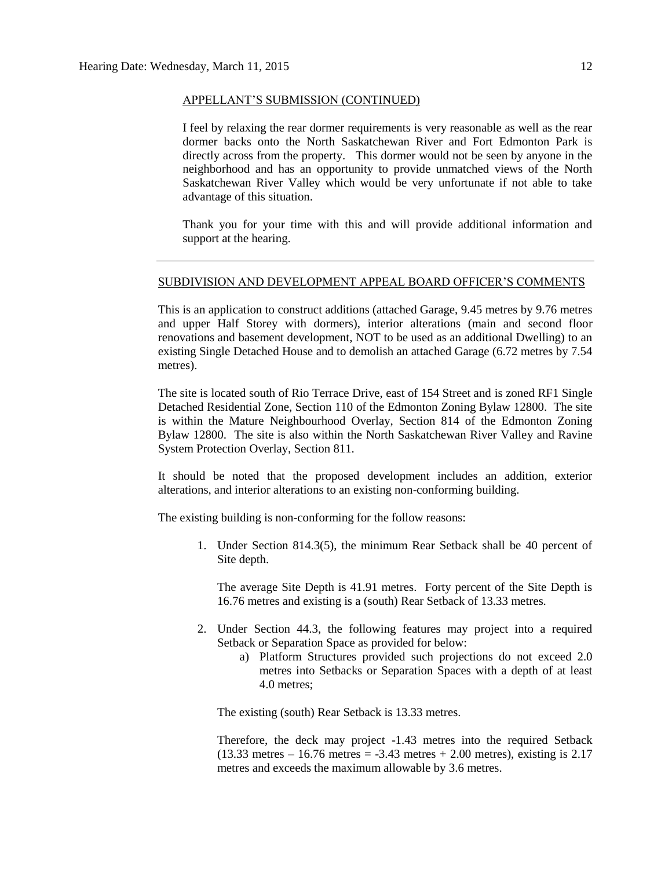#### APPELLANT'S SUBMISSION (CONTINUED)

I feel by relaxing the rear dormer requirements is very reasonable as well as the rear dormer backs onto the North Saskatchewan River and Fort Edmonton Park is directly across from the property. This dormer would not be seen by anyone in the neighborhood and has an opportunity to provide unmatched views of the North Saskatchewan River Valley which would be very unfortunate if not able to take advantage of this situation.

Thank you for your time with this and will provide additional information and support at the hearing.

#### SUBDIVISION AND DEVELOPMENT APPEAL BOARD OFFICER'S COMMENTS

This is an application to construct additions (attached Garage, 9.45 metres by 9.76 metres and upper Half Storey with dormers), interior alterations (main and second floor renovations and basement development, NOT to be used as an additional Dwelling) to an existing Single Detached House and to demolish an attached Garage (6.72 metres by 7.54 metres).

The site is located south of Rio Terrace Drive, east of 154 Street and is zoned RF1 Single Detached Residential Zone, Section 110 of the Edmonton Zoning Bylaw 12800. The site is within the Mature Neighbourhood Overlay, Section 814 of the Edmonton Zoning Bylaw 12800. The site is also within the North Saskatchewan River Valley and Ravine System Protection Overlay, Section 811.

It should be noted that the proposed development includes an addition, exterior alterations, and interior alterations to an existing non-conforming building.

The existing building is non-conforming for the follow reasons:

1. Under Section 814.3(5), the minimum Rear Setback shall be 40 percent of Site depth.

The average Site Depth is 41.91 metres. Forty percent of the Site Depth is 16.76 metres and existing is a (south) Rear Setback of 13.33 metres.

- 2. Under Section 44.3, the following features may project into a required Setback or Separation Space as provided for below:
	- a) Platform Structures provided such projections do not exceed 2.0 metres into Setbacks or Separation Spaces with a depth of at least 4.0 metres;

The existing (south) Rear Setback is 13.33 metres.

Therefore, the deck may project -1.43 metres into the required Setback  $(13.33$  metres  $-16.76$  metres  $= -3.43$  metres  $+ 2.00$  metres), existing is 2.17 metres and exceeds the maximum allowable by 3.6 metres.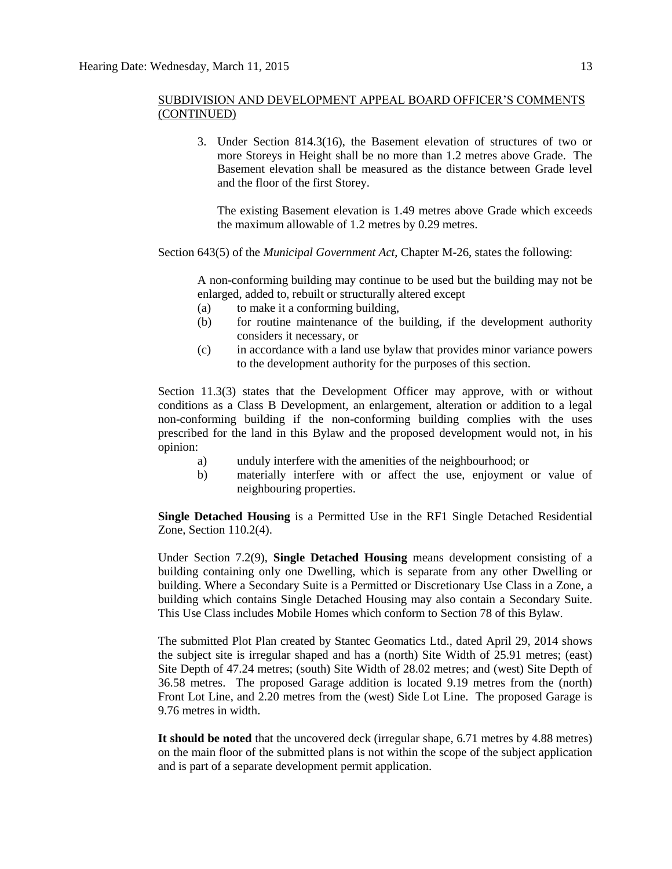3. Under Section 814.3(16), the Basement elevation of structures of two or more Storeys in Height shall be no more than 1.2 metres above Grade. The Basement elevation shall be measured as the distance between Grade level and the floor of the first Storey.

The existing Basement elevation is 1.49 metres above Grade which exceeds the maximum allowable of 1.2 metres by 0.29 metres.

Section 643(5) of the *Municipal Government Act*, Chapter M-26, states the following:

A non-conforming building may continue to be used but the building may not be enlarged, added to, rebuilt or structurally altered except

- (a) to make it a conforming building,
- (b) for routine maintenance of the building, if the development authority considers it necessary, or
- (c) in accordance with a land use bylaw that provides minor variance powers to the development authority for the purposes of this section.

Section 11.3(3) states that the Development Officer may approve, with or without conditions as a Class B Development, an enlargement, alteration or addition to a legal non-conforming building if the non-conforming building complies with the uses prescribed for the land in this Bylaw and the proposed development would not, in his opinion:

- a) unduly interfere with the amenities of the neighbourhood; or
- b) materially interfere with or affect the use, enjoyment or value of neighbouring properties.

**Single Detached Housing** is a Permitted Use in the RF1 Single Detached Residential Zone, Section 110.2(4).

Under Section 7.2(9), **Single Detached Housing** means development consisting of a building containing only one Dwelling, which is separate from any other Dwelling or building. Where a Secondary Suite is a Permitted or Discretionary Use Class in a Zone, a building which contains Single Detached Housing may also contain a Secondary Suite. This Use Class includes Mobile Homes which conform to [Section 78](http://webdocs.edmonton.ca/InfraPlan/zoningbylaw/ZoningBylaw/Part1/Special_Land/78__Mobile_Homes.htm) of this Bylaw.

The submitted Plot Plan created by Stantec Geomatics Ltd., dated April 29, 2014 shows the subject site is irregular shaped and has a (north) Site Width of 25.91 metres; (east) Site Depth of 47.24 metres; (south) Site Width of 28.02 metres; and (west) Site Depth of 36.58 metres. The proposed Garage addition is located 9.19 metres from the (north) Front Lot Line, and 2.20 metres from the (west) Side Lot Line. The proposed Garage is 9.76 metres in width.

**It should be noted** that the uncovered deck (irregular shape, 6.71 metres by 4.88 metres) on the main floor of the submitted plans is not within the scope of the subject application and is part of a separate development permit application.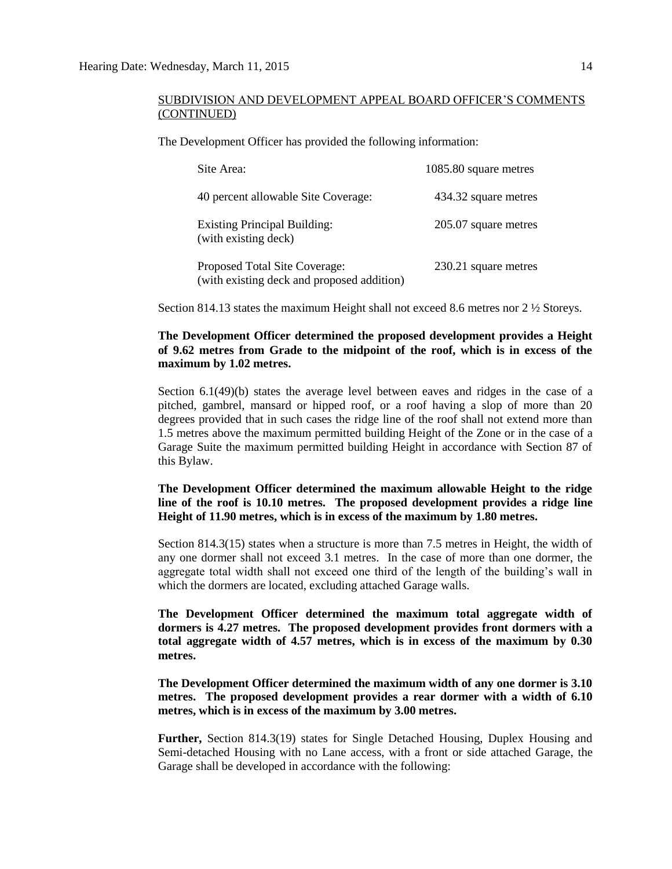The Development Officer has provided the following information:

| Site Area:                                                                  | 1085.80 square metres |
|-----------------------------------------------------------------------------|-----------------------|
| 40 percent allowable Site Coverage:                                         | 434.32 square metres  |
| <b>Existing Principal Building:</b><br>(with existing deck)                 | 205.07 square metres  |
| Proposed Total Site Coverage:<br>(with existing deck and proposed addition) | 230.21 square metres  |

Section 814.13 states the maximum Height shall not exceed 8.6 metres nor 2 ½ Storeys.

#### **The Development Officer determined the proposed development provides a Height of 9.62 metres from Grade to the midpoint of the roof, which is in excess of the maximum by 1.02 metres.**

Section 6.1(49)(b) states the average level between eaves and ridges in the case of a pitched, gambrel, mansard or hipped roof, or a roof having a slop of more than 20 degrees provided that in such cases the ridge line of the roof shall not extend more than 1.5 metres above the maximum permitted building Height of the Zone or in the case of a Garage Suite the maximum permitted building Height in accordance with Section 87 of this Bylaw.

**The Development Officer determined the maximum allowable Height to the ridge line of the roof is 10.10 metres. The proposed development provides a ridge line Height of 11.90 metres, which is in excess of the maximum by 1.80 metres.**

Section 814.3(15) states when a structure is more than 7.5 metres in Height, the width of any one dormer shall not exceed 3.1 metres. In the case of more than one dormer, the aggregate total width shall not exceed one third of the length of the building's wall in which the dormers are located, excluding attached Garage walls.

**The Development Officer determined the maximum total aggregate width of dormers is 4.27 metres. The proposed development provides front dormers with a total aggregate width of 4.57 metres, which is in excess of the maximum by 0.30 metres.**

**The Development Officer determined the maximum width of any one dormer is 3.10 metres. The proposed development provides a rear dormer with a width of 6.10 metres, which is in excess of the maximum by 3.00 metres.**

**Further,** Section 814.3(19) states for Single Detached Housing, Duplex Housing and Semi-detached Housing with no Lane access, with a front or side attached Garage, the Garage shall be developed in accordance with the following: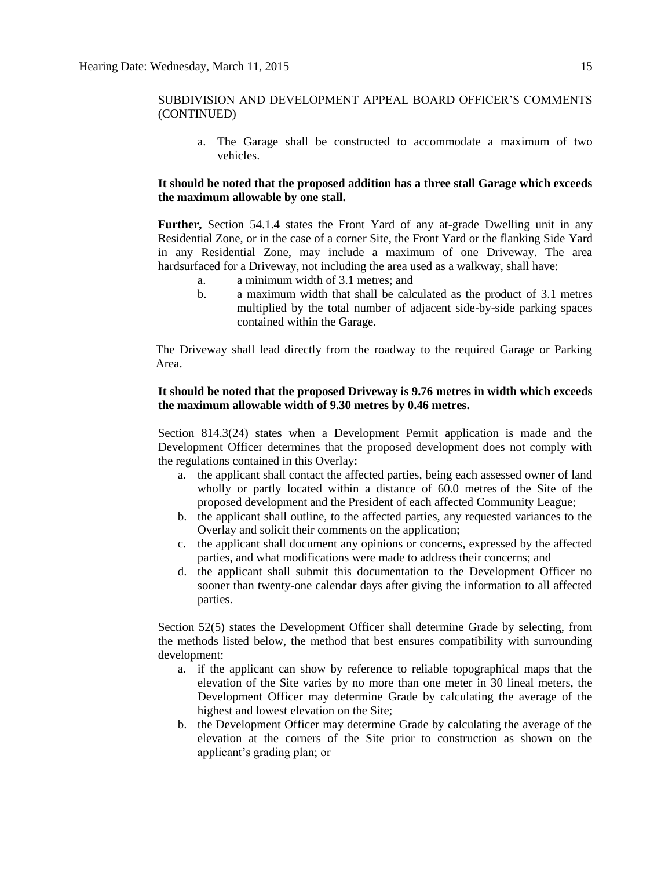a. The Garage shall be constructed to accommodate a maximum of two vehicles.

#### **It should be noted that the proposed addition has a three stall Garage which exceeds the maximum allowable by one stall.**

**Further,** Section 54.1.4 states the Front Yard of any at-grade Dwelling unit in any Residential Zone, or in the case of a corner Site, the Front Yard or the flanking Side Yard in any Residential Zone, may include a maximum of one Driveway. The area hardsurfaced for a Driveway, not including the area used as a walkway, shall have:

- a. a minimum width of 3.1 metres; and
- b. a maximum width that shall be calculated as the product of 3.1 metres multiplied by the total number of adjacent side-by-side parking spaces contained within the Garage.

The Driveway shall lead directly from the roadway to the required Garage or Parking Area.

#### **It should be noted that the proposed Driveway is 9.76 metres in width which exceeds the maximum allowable width of 9.30 metres by 0.46 metres.**

Section 814.3(24) states when a Development Permit application is made and the Development Officer determines that the proposed development does not comply with the regulations contained in this Overlay:

- a. the applicant shall contact the affected parties, being each assessed owner of land wholly or partly located within a distance of 60.0 metres of the Site of the proposed development and the President of each affected Community League;
- b. the applicant shall outline, to the affected parties, any requested variances to the Overlay and solicit their comments on the application;
- c. the applicant shall document any opinions or concerns, expressed by the affected parties, and what modifications were made to address their concerns; and
- d. the applicant shall submit this documentation to the Development Officer no sooner than twenty-one calendar days after giving the information to all affected parties.

Section 52(5) states the Development Officer shall determine Grade by selecting, from the methods listed below, the method that best ensures compatibility with surrounding development:

- a. if the applicant can show by reference to reliable topographical maps that the elevation of the Site varies by no more than one meter in 30 lineal meters, the Development Officer may determine Grade by calculating the average of the highest and lowest elevation on the Site;
- b. the Development Officer may determine Grade by calculating the average of the elevation at the corners of the Site prior to construction as shown on the applicant's grading plan; or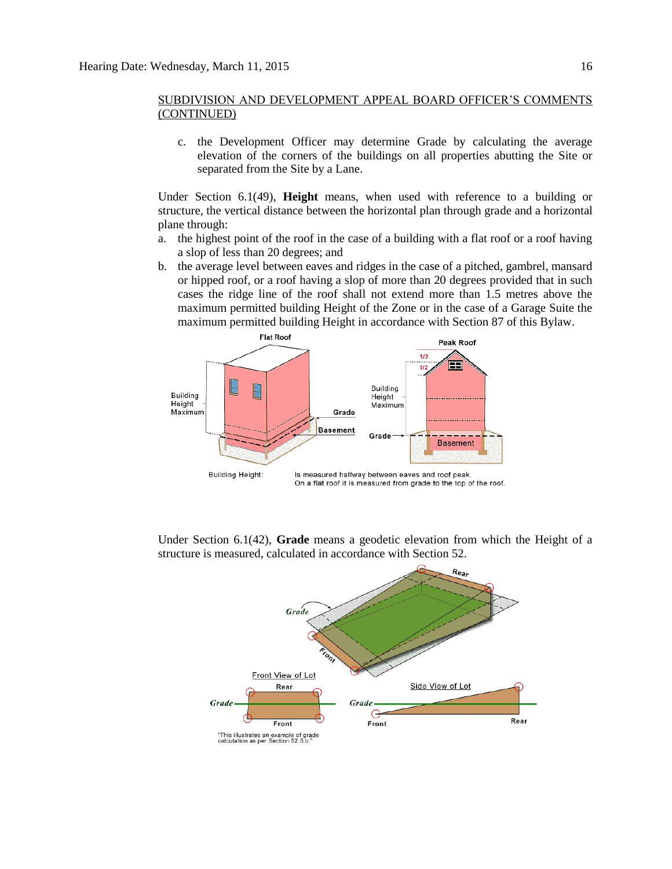c. the Development Officer may determine Grade by calculating the average elevation of the corners of the buildings on all properties abutting the Site or separated from the Site by a Lane.

Under Section 6.1(49), **Height** means, when used with reference to a building or structure, the vertical distance between the horizontal plan through grade and a horizontal plane through:

- a. the highest point of the roof in the case of a building with a flat roof or a roof having a slop of less than 20 degrees; and
- b. the average level between eaves and ridges in the case of a pitched, gambrel, mansard or hipped roof, or a roof having a slop of more than 20 degrees provided that in such cases the ridge line of the roof shall not extend more than 1.5 metres above the maximum permitted building Height of the Zone or in the case of a Garage Suite the maximum permitted building Height in accordance with Section 87 of this Bylaw.



Under Section 6.1(42), **Grade** means a geodetic elevation from which the Height of a structure is measured, calculated in accordance with Section 52.

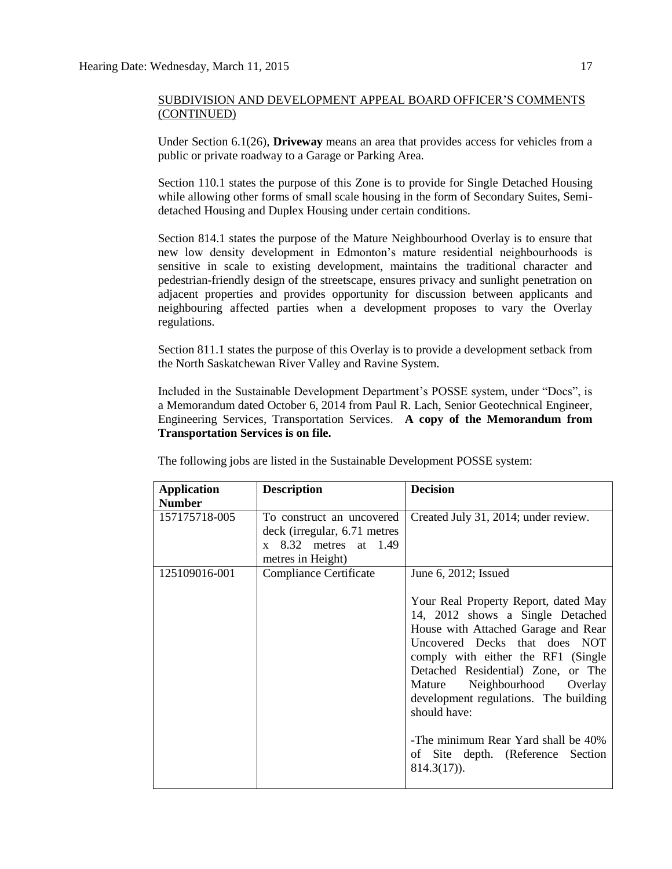Under Section 6.1(26), **Driveway** means an area that provides access for vehicles from a public or private roadway to a Garage or Parking Area.

Section 110.1 states the purpose of this Zone is to provide for Single Detached Housing while allowing other forms of small scale housing in the form of Secondary Suites, Semidetached Housing and Duplex Housing under certain conditions.

Section 814.1 states the purpose of the Mature Neighbourhood Overlay is to ensure that new low density development in Edmonton's mature residential neighbourhoods is sensitive in scale to existing development, maintains the traditional character and pedestrian-friendly design of the streetscape, ensures privacy and sunlight penetration on adjacent properties and provides opportunity for discussion between applicants and neighbouring affected parties when a development proposes to vary the Overlay regulations.

Section 811.1 states the purpose of this Overlay is to provide a development setback from the North Saskatchewan River Valley and Ravine System.

Included in the Sustainable Development Department's POSSE system, under "Docs", is a Memorandum dated October 6, 2014 from Paul R. Lach, Senior Geotechnical Engineer, Engineering Services, Transportation Services. **A copy of the Memorandum from Transportation Services is on file.**

| <b>Application</b><br><b>Number</b> | <b>Description</b>                                                                                              | <b>Decision</b>                                                                                                                                                                                                                                                                                                                                                                                                                             |
|-------------------------------------|-----------------------------------------------------------------------------------------------------------------|---------------------------------------------------------------------------------------------------------------------------------------------------------------------------------------------------------------------------------------------------------------------------------------------------------------------------------------------------------------------------------------------------------------------------------------------|
| 157175718-005                       | To construct an uncovered<br>deck (irregular, 6.71 metres<br>$x \quad 8.32$ metres at 1.49<br>metres in Height) | Created July 31, 2014; under review.                                                                                                                                                                                                                                                                                                                                                                                                        |
| 125109016-001                       | Compliance Certificate                                                                                          | June 6, 2012; Issued<br>Your Real Property Report, dated May<br>14, 2012 shows a Single Detached<br>House with Attached Garage and Rear<br>Uncovered Decks that does NOT<br>comply with either the RF1 (Single<br>Detached Residential) Zone, or The<br>Mature Neighbourhood Overlay<br>development regulations. The building<br>should have:<br>-The minimum Rear Yard shall be 40%<br>of Site depth. (Reference Section<br>$814.3(17)$ ). |

The following jobs are listed in the Sustainable Development POSSE system: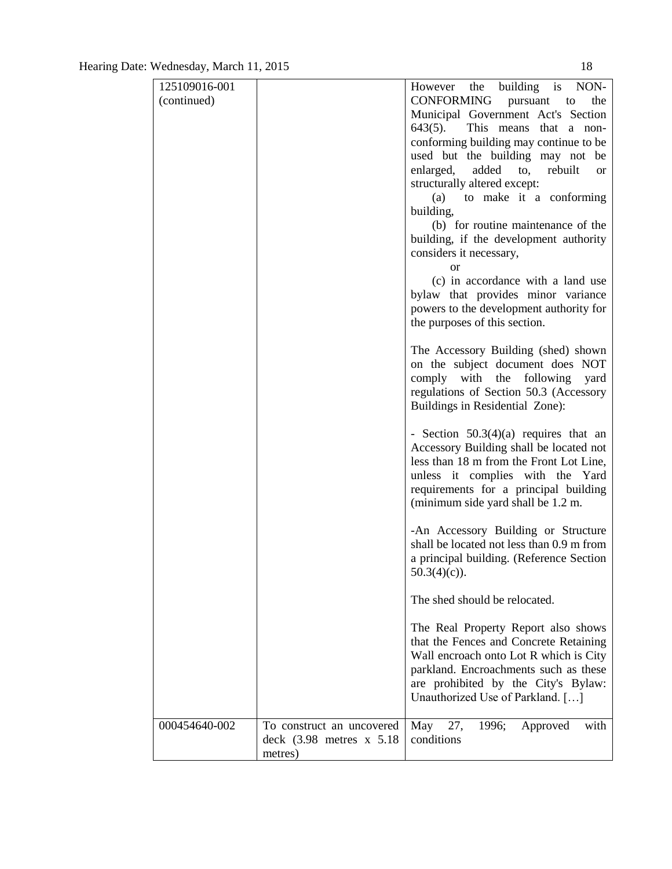| 125109016-001 |                               | However the building is NON-              |
|---------------|-------------------------------|-------------------------------------------|
| (continued)   |                               | CONFORMING<br>pursuant to<br>the          |
|               |                               | Municipal Government Act's Section        |
|               |                               | $643(5)$ .<br>This means that a non-      |
|               |                               | conforming building may continue to be    |
|               |                               | used but the building may not be          |
|               |                               | enlarged, added to, rebuilt<br><b>or</b>  |
|               |                               | structurally altered except:              |
|               |                               | to make it a conforming<br>(a)            |
|               |                               | building,                                 |
|               |                               | (b) for routine maintenance of the        |
|               |                               | building, if the development authority    |
|               |                               | considers it necessary,                   |
|               |                               | <sub>or</sub>                             |
|               |                               | (c) in accordance with a land use         |
|               |                               | bylaw that provides minor variance        |
|               |                               | powers to the development authority for   |
|               |                               | the purposes of this section.             |
|               |                               |                                           |
|               |                               | The Accessory Building (shed) shown       |
|               |                               | on the subject document does NOT          |
|               |                               | comply with the following<br>yard         |
|               |                               | regulations of Section 50.3 (Accessory    |
|               |                               | Buildings in Residential Zone):           |
|               |                               |                                           |
|               |                               | - Section $50.3(4)(a)$ requires that an   |
|               |                               | Accessory Building shall be located not   |
|               |                               | less than 18 m from the Front Lot Line,   |
|               |                               | unless it complies with the Yard          |
|               |                               | requirements for a principal building     |
|               |                               | (minimum side yard shall be 1.2 m.        |
|               |                               | -An Accessory Building or Structure       |
|               |                               | shall be located not less than 0.9 m from |
|               |                               | a principal building. (Reference Section  |
|               |                               |                                           |
|               |                               | $50.3(4)(c)$ ).                           |
|               |                               | The shed should be relocated.             |
|               |                               |                                           |
|               |                               | The Real Property Report also shows       |
|               |                               | that the Fences and Concrete Retaining    |
|               |                               | Wall encroach onto Lot R which is City    |
|               |                               | parkland. Encroachments such as these     |
|               |                               | are prohibited by the City's Bylaw:       |
|               |                               | Unauthorized Use of Parkland. []          |
|               |                               |                                           |
| 000454640-002 | To construct an uncovered     | with<br>May 27,<br>1996;<br>Approved      |
|               | deck $(3.98$ metres $x\,5.18$ | conditions                                |
|               | metres)                       |                                           |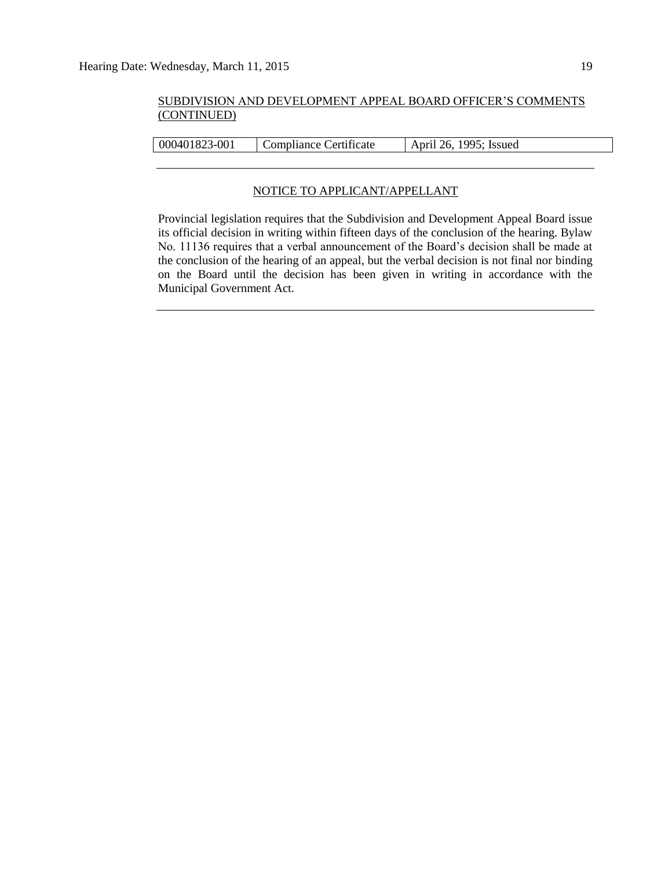000401823-001 Compliance Certificate April 26, 1995; Issued

#### NOTICE TO APPLICANT/APPELLANT

Provincial legislation requires that the Subdivision and Development Appeal Board issue its official decision in writing within fifteen days of the conclusion of the hearing. Bylaw No. 11136 requires that a verbal announcement of the Board's decision shall be made at the conclusion of the hearing of an appeal, but the verbal decision is not final nor binding on the Board until the decision has been given in writing in accordance with the Municipal Government Act.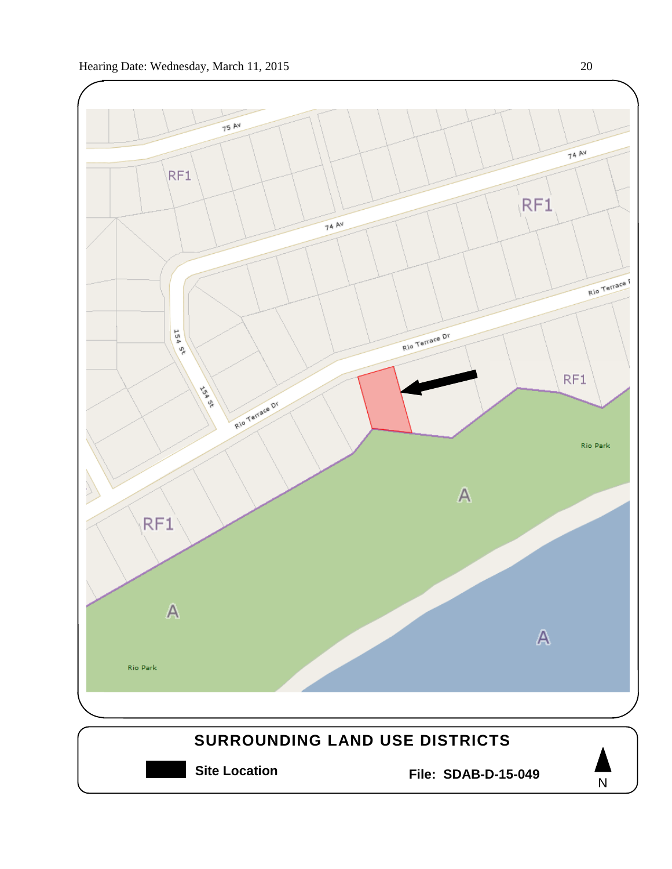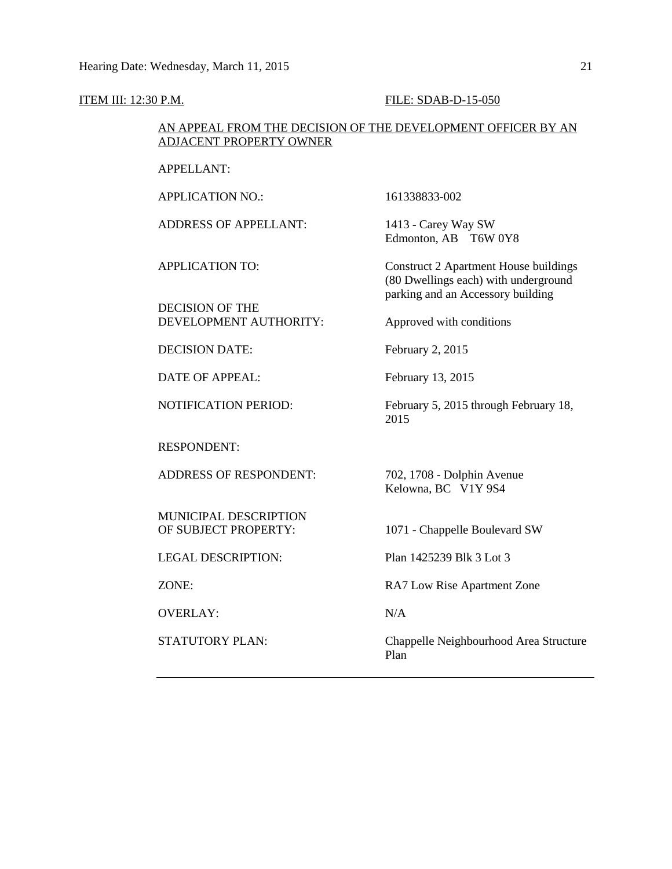#### **ITEM III: 12:30 P.M. FILE: SDAB-D-15-050**

#### AN APPEAL FROM THE DECISION OF THE DEVELOPMENT OFFICER BY AN ADJACENT PROPERTY OWNER

APPELLANT:

APPLICATION NO.: 161338833-002

ADDRESS OF APPELLANT: 1413 - Carey Way SW

DECISION OF THE DEVELOPMENT AUTHORITY: Approved with conditions

DECISION DATE: February 2, 2015

DATE OF APPEAL: February 13, 2015

RESPONDENT:

ADDRESS OF RESPONDENT: 702, 1708 - Dolphin Avenue

MUNICIPAL DESCRIPTION

LEGAL DESCRIPTION: Plan 1425239 Blk 3 Lot 3

OVERLAY: N/A

Edmonton, AB T6W 0Y8

APPLICATION TO: Construct 2 Apartment House buildings (80 Dwellings each) with underground parking and an Accessory building

NOTIFICATION PERIOD: February 5, 2015 through February 18, 2015

Kelowna, BC V1Y 9S4

OF SUBJECT PROPERTY: 1071 - Chappelle Boulevard SW

ZONE: RA7 Low Rise Apartment Zone

STATUTORY PLAN: Chappelle Neighbourhood Area Structure Plan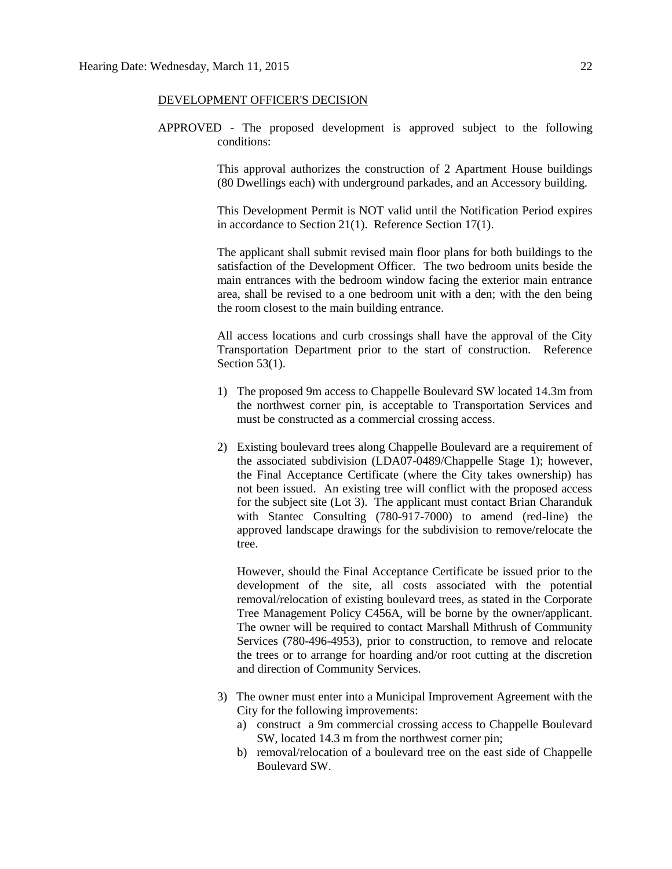#### DEVELOPMENT OFFICER'S DECISION

APPROVED - The proposed development is approved subject to the following conditions:

> This approval authorizes the construction of 2 Apartment House buildings (80 Dwellings each) with underground parkades, and an Accessory building.

> This Development Permit is NOT valid until the Notification Period expires in accordance to Section 21(1). Reference Section 17(1).

> The applicant shall submit revised main floor plans for both buildings to the satisfaction of the Development Officer. The two bedroom units beside the main entrances with the bedroom window facing the exterior main entrance area, shall be revised to a one bedroom unit with a den; with the den being the room closest to the main building entrance.

> All access locations and curb crossings shall have the approval of the City Transportation Department prior to the start of construction. Reference Section 53(1).

- 1) The proposed 9m access to Chappelle Boulevard SW located 14.3m from the northwest corner pin, is acceptable to Transportation Services and must be constructed as a commercial crossing access.
- 2) Existing boulevard trees along Chappelle Boulevard are a requirement of the associated subdivision (LDA07-0489/Chappelle Stage 1); however, the Final Acceptance Certificate (where the City takes ownership) has not been issued. An existing tree will conflict with the proposed access for the subject site (Lot 3). The applicant must contact Brian Charanduk with Stantec Consulting (780-917-7000) to amend (red-line) the approved landscape drawings for the subdivision to remove/relocate the tree.

However, should the Final Acceptance Certificate be issued prior to the development of the site, all costs associated with the potential removal/relocation of existing boulevard trees, as stated in the Corporate Tree Management Policy C456A, will be borne by the owner/applicant. The owner will be required to contact Marshall Mithrush of Community Services (780-496-4953), prior to construction, to remove and relocate the trees or to arrange for hoarding and/or root cutting at the discretion and direction of Community Services.

- 3) The owner must enter into a Municipal Improvement Agreement with the City for the following improvements:
	- a) construct a 9m commercial crossing access to Chappelle Boulevard SW, located 14.3 m from the northwest corner pin;
	- b) removal/relocation of a boulevard tree on the east side of Chappelle Boulevard SW.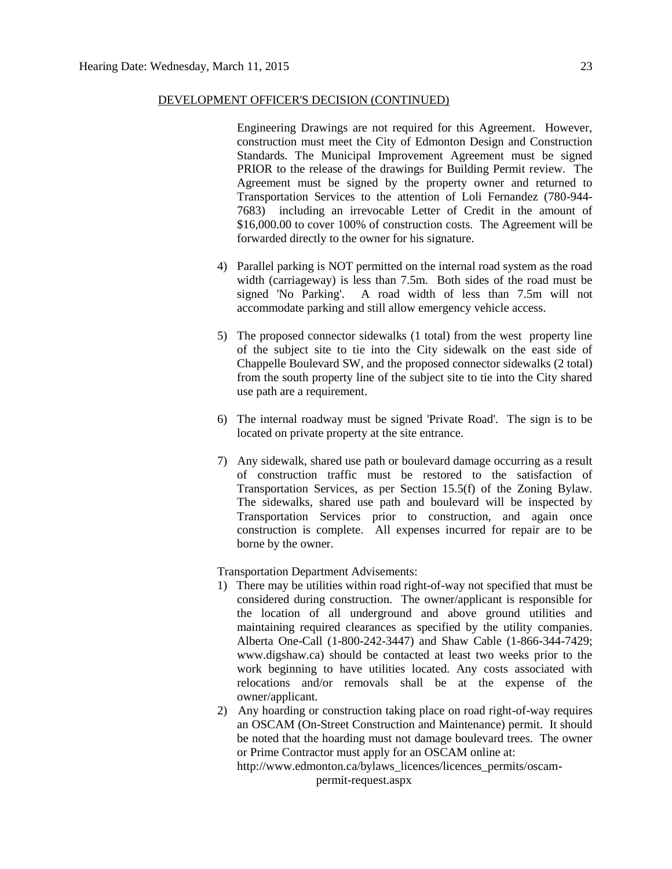Engineering Drawings are not required for this Agreement. However, construction must meet the City of Edmonton Design and Construction Standards. The Municipal Improvement Agreement must be signed PRIOR to the release of the drawings for Building Permit review. The Agreement must be signed by the property owner and returned to Transportation Services to the attention of Loli Fernandez (780-944- 7683) including an irrevocable Letter of Credit in the amount of \$16,000.00 to cover 100% of construction costs. The Agreement will be forwarded directly to the owner for his signature.

- 4) Parallel parking is NOT permitted on the internal road system as the road width (carriageway) is less than 7.5m. Both sides of the road must be signed 'No Parking'. A road width of less than 7.5m will not accommodate parking and still allow emergency vehicle access.
- 5) The proposed connector sidewalks (1 total) from the west property line of the subject site to tie into the City sidewalk on the east side of Chappelle Boulevard SW, and the proposed connector sidewalks (2 total) from the south property line of the subject site to tie into the City shared use path are a requirement.
- 6) The internal roadway must be signed 'Private Road'. The sign is to be located on private property at the site entrance.
- 7) Any sidewalk, shared use path or boulevard damage occurring as a result of construction traffic must be restored to the satisfaction of Transportation Services, as per Section 15.5(f) of the Zoning Bylaw. The sidewalks, shared use path and boulevard will be inspected by Transportation Services prior to construction, and again once construction is complete. All expenses incurred for repair are to be borne by the owner.

Transportation Department Advisements:

- 1) There may be utilities within road right-of-way not specified that must be considered during construction. The owner/applicant is responsible for the location of all underground and above ground utilities and maintaining required clearances as specified by the utility companies. Alberta One-Call (1-800-242-3447) and Shaw Cable (1-866-344-7429; www.digshaw.ca) should be contacted at least two weeks prior to the work beginning to have utilities located. Any costs associated with relocations and/or removals shall be at the expense of the owner/applicant.
- 2) Any hoarding or construction taking place on road right-of-way requires an OSCAM (On-Street Construction and Maintenance) permit. It should be noted that the hoarding must not damage boulevard trees. The owner or Prime Contractor must apply for an OSCAM online at:

http://www.edmonton.ca/bylaws\_licences/licences\_permits/oscam-

permit-request.aspx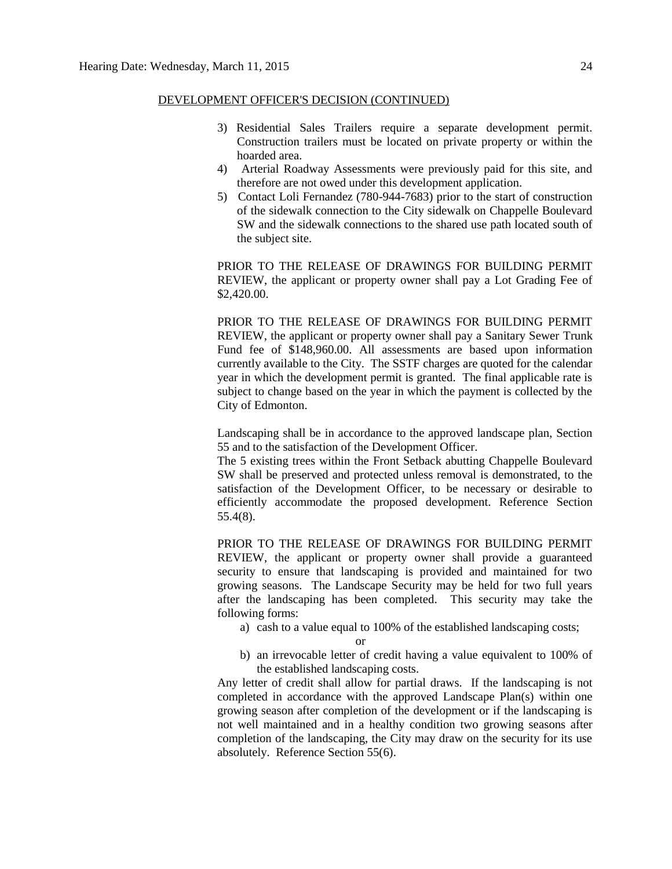- 3) Residential Sales Trailers require a separate development permit. Construction trailers must be located on private property or within the hoarded area.
- 4) Arterial Roadway Assessments were previously paid for this site, and therefore are not owed under this development application.
- 5) Contact Loli Fernandez (780-944-7683) prior to the start of construction of the sidewalk connection to the City sidewalk on Chappelle Boulevard SW and the sidewalk connections to the shared use path located south of the subject site.

PRIOR TO THE RELEASE OF DRAWINGS FOR BUILDING PERMIT REVIEW, the applicant or property owner shall pay a Lot Grading Fee of \$2,420.00.

PRIOR TO THE RELEASE OF DRAWINGS FOR BUILDING PERMIT REVIEW, the applicant or property owner shall pay a Sanitary Sewer Trunk Fund fee of \$148,960.00. All assessments are based upon information currently available to the City. The SSTF charges are quoted for the calendar year in which the development permit is granted. The final applicable rate is subject to change based on the year in which the payment is collected by the City of Edmonton.

Landscaping shall be in accordance to the approved landscape plan, Section 55 and to the satisfaction of the Development Officer.

The 5 existing trees within the Front Setback abutting Chappelle Boulevard SW shall be preserved and protected unless removal is demonstrated, to the satisfaction of the Development Officer, to be necessary or desirable to efficiently accommodate the proposed development. Reference Section 55.4(8).

PRIOR TO THE RELEASE OF DRAWINGS FOR BUILDING PERMIT REVIEW, the applicant or property owner shall provide a guaranteed security to ensure that landscaping is provided and maintained for two growing seasons. The Landscape Security may be held for two full years after the landscaping has been completed. This security may take the following forms:

a) cash to a value equal to 100% of the established landscaping costs;

or

b) an irrevocable letter of credit having a value equivalent to 100% of the established landscaping costs.

Any letter of credit shall allow for partial draws. If the landscaping is not completed in accordance with the approved Landscape Plan(s) within one growing season after completion of the development or if the landscaping is not well maintained and in a healthy condition two growing seasons after completion of the landscaping, the City may draw on the security for its use absolutely. Reference Section 55(6).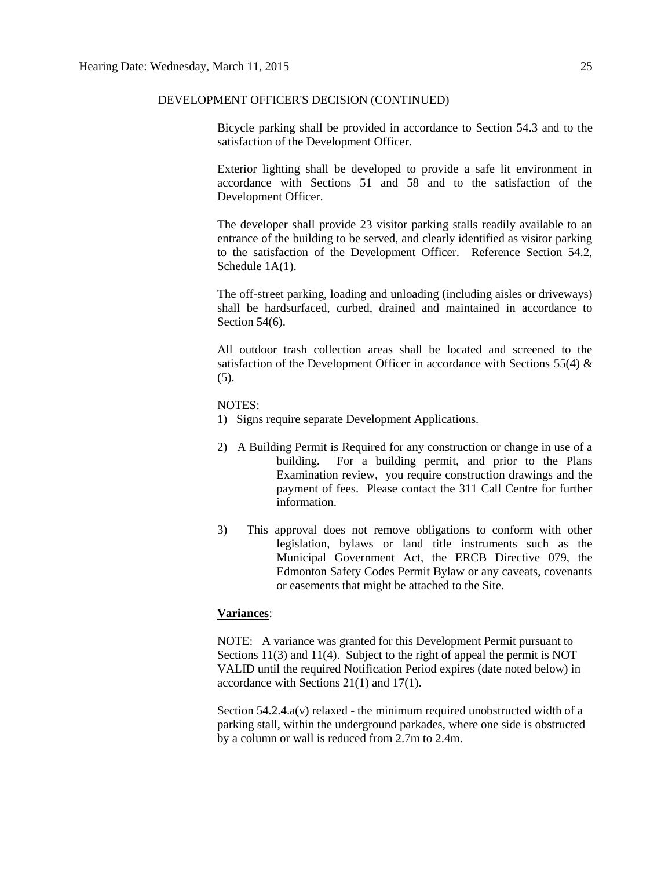Bicycle parking shall be provided in accordance to Section 54.3 and to the satisfaction of the Development Officer.

Exterior lighting shall be developed to provide a safe lit environment in accordance with Sections 51 and 58 and to the satisfaction of the Development Officer.

The developer shall provide 23 visitor parking stalls readily available to an entrance of the building to be served, and clearly identified as visitor parking to the satisfaction of the Development Officer. Reference Section 54.2, Schedule 1A(1).

The off-street parking, loading and unloading (including aisles or driveways) shall be hardsurfaced, curbed, drained and maintained in accordance to Section 54(6).

All outdoor trash collection areas shall be located and screened to the satisfaction of the Development Officer in accordance with Sections 55(4)  $\&$ (5).

NOTES:

- 1) Signs require separate Development Applications.
- 2) A Building Permit is Required for any construction or change in use of a building. For a building permit, and prior to the Plans Examination review, you require construction drawings and the payment of fees. Please contact the 311 Call Centre for further information.
- 3) This approval does not remove obligations to conform with other legislation, bylaws or land title instruments such as the Municipal Government Act, the ERCB Directive 079, the Edmonton Safety Codes Permit Bylaw or any caveats, covenants or easements that might be attached to the Site.

#### **Variances**:

NOTE: A variance was granted for this Development Permit pursuant to Sections 11(3) and 11(4). Subject to the right of appeal the permit is NOT VALID until the required Notification Period expires (date noted below) in accordance with Sections 21(1) and 17(1).

Section  $54.2.4.a(v)$  relaxed - the minimum required unobstructed width of a parking stall, within the underground parkades, where one side is obstructed by a column or wall is reduced from 2.7m to 2.4m.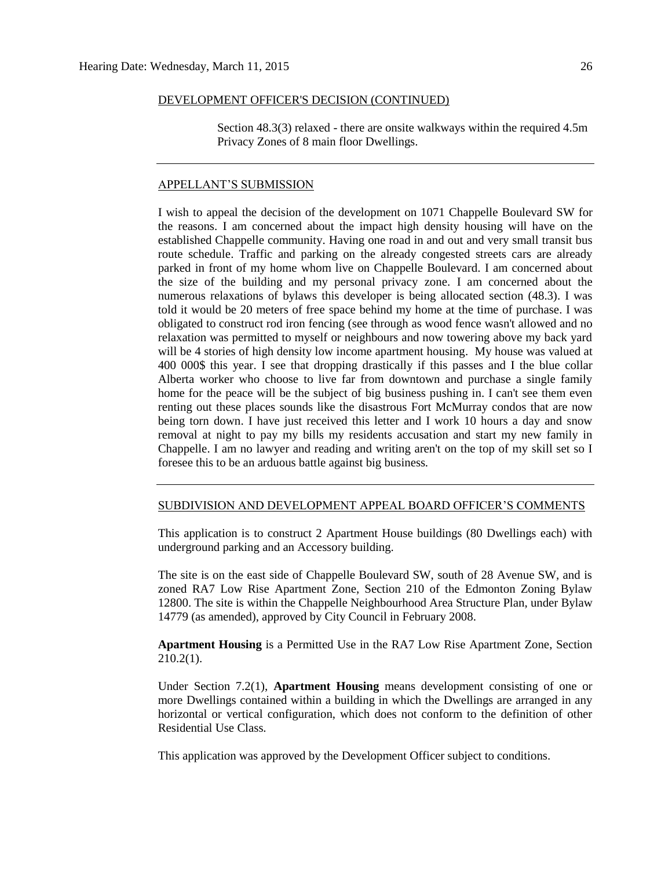Section 48.3(3) relaxed - there are onsite walkways within the required 4.5m Privacy Zones of 8 main floor Dwellings.

#### APPELLANT'S SUBMISSION

I wish to appeal the decision of the development on 1071 Chappelle Boulevard SW for the reasons. I am concerned about the impact high density housing will have on the established Chappelle community. Having one road in and out and very small transit bus route schedule. Traffic and parking on the already congested streets cars are already parked in front of my home whom live on Chappelle Boulevard. I am concerned about the size of the building and my personal privacy zone. I am concerned about the numerous relaxations of bylaws this developer is being allocated section (48.3). I was told it would be 20 meters of free space behind my home at the time of purchase. I was obligated to construct rod iron fencing (see through as wood fence wasn't allowed and no relaxation was permitted to myself or neighbours and now towering above my back yard will be 4 stories of high density low income apartment housing. My house was valued at 400 000\$ this year. I see that dropping drastically if this passes and I the blue collar Alberta worker who choose to live far from downtown and purchase a single family home for the peace will be the subject of big business pushing in. I can't see them even renting out these places sounds like the disastrous Fort McMurray condos that are now being torn down. I have just received this letter and I work 10 hours a day and snow removal at night to pay my bills my residents accusation and start my new family in Chappelle. I am no lawyer and reading and writing aren't on the top of my skill set so I foresee this to be an arduous battle against big business.

#### SUBDIVISION AND DEVELOPMENT APPEAL BOARD OFFICER'S COMMENTS

This application is to construct 2 Apartment House buildings (80 Dwellings each) with underground parking and an Accessory building.

The site is on the east side of Chappelle Boulevard SW, south of 28 Avenue SW, and is zoned RA7 Low Rise Apartment Zone, Section 210 of the Edmonton Zoning Bylaw 12800. The site is within the Chappelle Neighbourhood Area Structure Plan, under Bylaw 14779 (as amended), approved by City Council in February 2008.

**Apartment Housing** is a Permitted Use in the RA7 Low Rise Apartment Zone, Section 210.2(1).

Under Section 7.2(1), **Apartment Housing** means development consisting of one or more Dwellings contained within a building in which the Dwellings are arranged in any horizontal or vertical configuration, which does not conform to the definition of other Residential Use Class.

This application was approved by the Development Officer subject to conditions.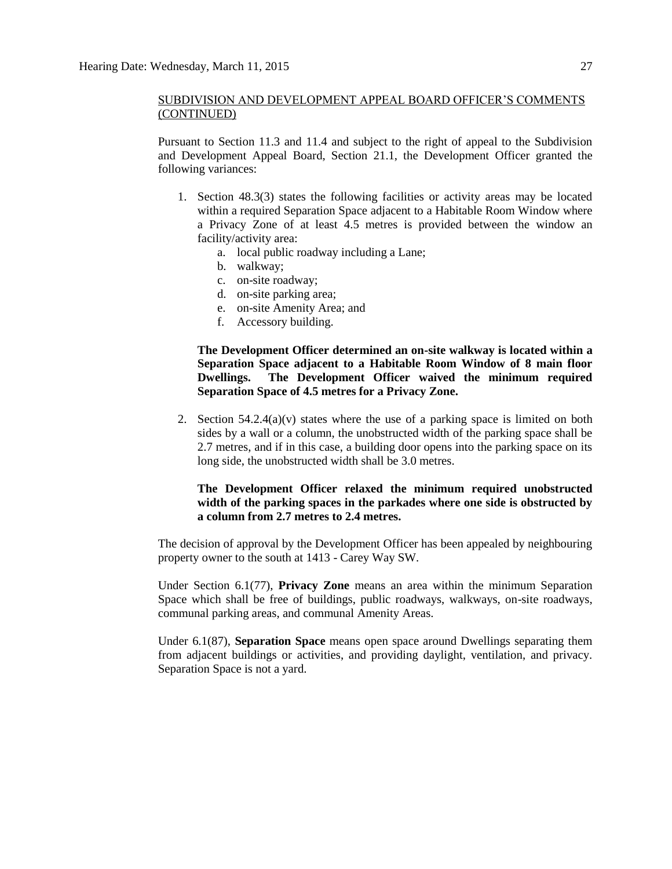Pursuant to Section 11.3 and 11.4 and subject to the right of appeal to the Subdivision and Development Appeal Board, Section 21.1, the Development Officer granted the following variances:

- 1. Section 48.3(3) states the following facilities or activity areas may be located within a required Separation Space adjacent to a Habitable Room Window where a Privacy Zone of at least 4.5 metres is provided between the window an facility/activity area:
	- a. local public roadway including a Lane;
	- b. walkway;
	- c. on-site roadway;
	- d. on-site parking area;
	- e. on-site Amenity Area; and
	- f. Accessory building.

#### **The Development Officer determined an on-site walkway is located within a Separation Space adjacent to a Habitable Room Window of 8 main floor Dwellings. The Development Officer waived the minimum required Separation Space of 4.5 metres for a Privacy Zone.**

2. Section  $54.2.4(a)(v)$  states where the use of a parking space is limited on both sides by a wall or a column, the unobstructed width of the parking space shall be 2.7 metres, and if in this case, a building door opens into the parking space on its long side, the unobstructed width shall be 3.0 metres.

#### **The Development Officer relaxed the minimum required unobstructed width of the parking spaces in the parkades where one side is obstructed by a column from 2.7 metres to 2.4 metres.**

The decision of approval by the Development Officer has been appealed by neighbouring property owner to the south at 1413 - Carey Way SW.

Under Section 6.1(77), **Privacy Zone** means an area within the minimum Separation Space which shall be free of buildings, public roadways, walkways, on-site roadways, communal parking areas, and communal Amenity Areas.

Under 6.1(87), **Separation Space** means open space around Dwellings separating them from adjacent buildings or activities, and providing daylight, ventilation, and privacy. Separation Space is not a yard.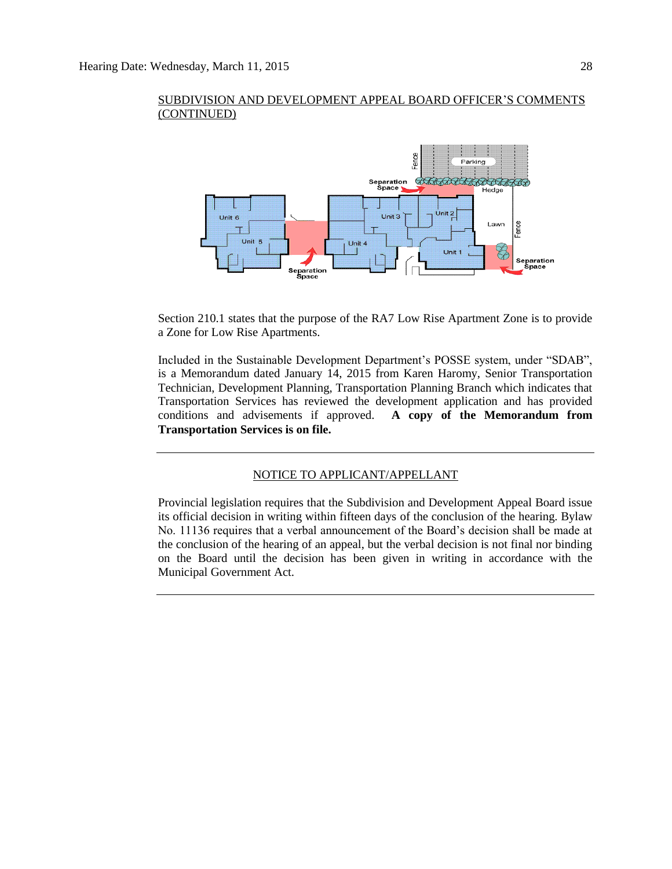

Section 210.1 states that the purpose of the RA7 Low Rise Apartment Zone is to provide a Zone for Low Rise Apartments.

Included in the Sustainable Development Department's POSSE system, under "SDAB", is a Memorandum dated January 14, 2015 from Karen Haromy, Senior Transportation Technician, Development Planning, Transportation Planning Branch which indicates that Transportation Services has reviewed the development application and has provided conditions and advisements if approved. **A copy of the Memorandum from Transportation Services is on file.**

#### NOTICE TO APPLICANT/APPELLANT

Provincial legislation requires that the Subdivision and Development Appeal Board issue its official decision in writing within fifteen days of the conclusion of the hearing. Bylaw No. 11136 requires that a verbal announcement of the Board's decision shall be made at the conclusion of the hearing of an appeal, but the verbal decision is not final nor binding on the Board until the decision has been given in writing in accordance with the Municipal Government Act.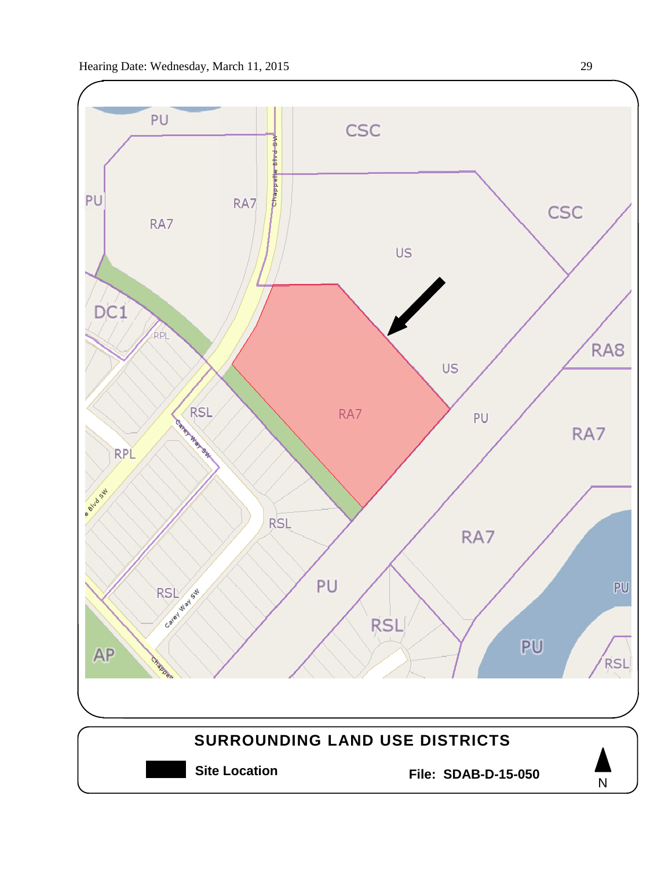